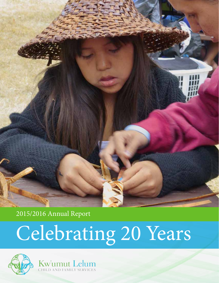

2015/2016 Annual Report

# Celebrating 20 Years



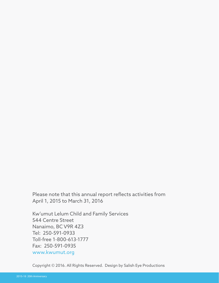Please note that this annual report reflects activities from April 1, 2015 to March 31, 2016

Kw'umut Lelum Child and Family Services 544 Centre Street Nanaimo, BC V9R 4Z3 Tel: 250-591-0933 Toll-free 1-800-613-1777 Fax: 250-591-0935 www.kwumut.org

Copyright © 2016. All Rights Reserved. Design by Salish Eye Productions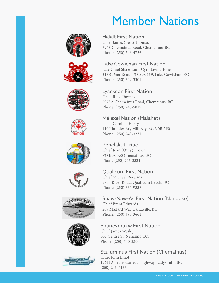# Member Nations



















### Halalt First Nation

Chief James (Bert) Thomas 7973 Chemainus Road, Chemainus, BC Phone: (250) 246-4736

### Lake Cowichan First Nation

Late Chief Sha e' lum -Cyril Livingstone 313B Deer Road, PO Box 159, Lake Cowichan, BC Phone: (250) 749-3301

### Lyackson First Nation

Chief Rick Thomas 7973A Chemainus Road, Chemainus, BC Phone: (250) 246-5019

#### Málexeł Nation (Malahat)

Chief Caroline Harry 110 Thunder Rd, Mill Bay, BC V0R 2P0 Phone: (250) 743-3231

## Penelakut Tribe

Chief Joan (Ozzy) Brown PO Box 360 Chemainus, BC Phone (250) 246-2321

#### Qualicum First Nation

Chief Michael Recalma 5850 River Road, Qualicum Beach, BC Phone: (250) 757-9337

#### Snaw-Naw-As First Nation (Nanoose) Chief Brent Edwards 209 Mallard Way, Lantzville, BC Phone: (250) 390-3661

#### Snuneymuxw First Nation

Chief James Wesley 668 Centre St, Nanaimo, B.C. Phone: (250) 740-2300

#### Stz' uminus First Nation (Chemainus) Chief John Elliot 12611A Trans Canada Highway, Ladysmith, BC (250) 245-7155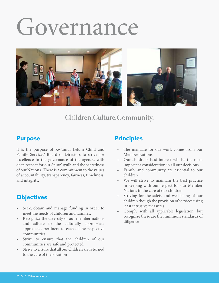# Governance



Children.Culture.Community.

## **Purpose**

It is the purpose of Kw'umut Lelum Child and Family Services' Board of Directors to strive for excellence in the governance of the agency, with deep respect for our Snuw'uyulh and the sacredness of our Nations. There is a commitment to the values of accountability, transparency, fairness, timeliness, and integrity.

# **Objectives**

- Seek, obtain and manage funding in order to meet the needs of children and families.
- Recognize the diversity of our member nations and adhere to the culturally appropriate approaches pertinent to each of the respective communities
- Strive to ensure that the children of our communities are safe and protected
- Strive to ensure that all our children are returned to the care of their Nation

# **Principles**

- The mandate for our work comes from our Member Nations
- Our children's best interest will be the most important consideration in all our decisions
- Family and community are essential to our children
- We will strive to maintain the best practice in keeping with our respect for our Member Nations in the care of our children
- Striving for the safety and well being of our children though the provision of services using least intrusive measures
- Comply with all applicable legislation, but recognize these are the minimum standards of diligence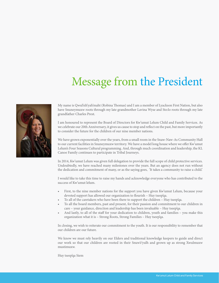# Message from the President



My name is Qwul'sih'yah'maht (Robina Thomas) and I am a member of Lyackson First Nation, but also have Snuneymuxw roots through my late grandmother Lavina Wyse and Sto:lo roots through my late grandfather Charles Prest.

I am honoured to represent the Board of Directors for Kw'umut Lelum Child and Family Services. As we celebrate our 20th Anniversary, it gives us cause to stop and reflect on the past, but more importantly to consider the future for the children of our nine member nations.

We have grown exponentially over the years, from a small room in the Snaw-Naw-As Community Hall to our current facilities in Snuneymuxw territory. We have a model long house where we offer Kw'umut Lelum's Four Seasons Cultural programming. And, through much coordination and leadership, the KL Canoe Family continues to participate in Tribal Journeys.

In 2014, Kw'umut Lelum was given full delegation to provide the full scope of child protective services. Undoubtedly, we have reached many milestones over the years. But an agency does not run without the dedication and commitment of many, or as the saying goes, 'It takes a community to raise a child.'

I would like to take this time to raise my hands and acknowledge everyone who has contributed to the success of Kw'umut lelum.

- First, to the nine member nations for the support you have given Kw'umut Lelum, because your devoted support has allowed our organization to flourish – Huy tseep'qa.
- To all of the caretakers who have been there to support the children Huy tseep'qa.
- To all the board members, past and present, for their passion and commitment to our children in care – your guidance, direction and leadership has been invaluable – Huy tseep'qa.
- And lastly, to all of the staff for your dedication to children, youth and families you make this organization what it is – Strong Roots, Strong Families – Huy tseep'qa.

In closing, we wish to reiterate our commitment to the youth. It is our responsibility to remember that our children are our future.

We know we must rely heavily on our Elders and traditional knowledge keepers to guide and direct our work so that our children are rooted in their Snuw'e'yulh and grown up as strong Xwulmuxw mustimuxw.

Huy tseep'qa Siem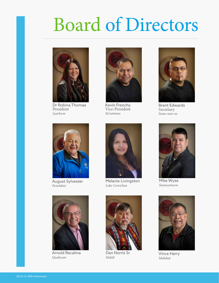# Board of Directors



Dr Robina Thomas President *Lyackson* 



Kevin Frenchy Vice-President *Stz'uminus* 



Brent Edwards Secretary *Snaw-naw-as* 



August Sylvester *Penelakut* 



Melanie Livingston *Lake Cowichan*



Mike Wyse *Snuneymuxw*



Arnold Recalma *Qualicum*



Dan Norris Sr *Halalt*



Vince Harry *Malahat*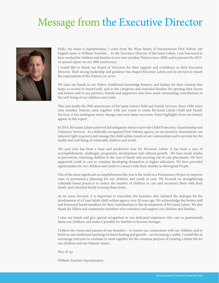# Message from the Executive Director



Hello, my name is Sqwulutsutun, I come from the Wyse family of Snuneymuxw First Nation. My English name is William Yoachim. As the Executive Director of Kw'umut Lelum, I am honoured to have worked for children and families in our nine member Nations since 2008, and to present the 2015- 16 annual report on our 20th anniversary.

I would like to thank our Board of Directors for their support and confidence as their Executive Director. Their strong leadership and guidance has shaped Kw'umut Lelum and its services to match the expectations of the Nations we serve.

We raise our hands to our Elders, traditional knowledge keepers, and leaders for their wisdom that keeps us rooted in Snuw'e'yulh; and to the caregivers and extended families for opening their hearts and homes; and to our partners, friends and supporters who have made outstanding contributions to the well-being of our children and youth.

This year marks the 20th anniversary of Kw'umut Lelum Child and Family Services. Since 1996 when nine member Nations came together with one vision to create Kw'umut Lelum Child and Family Services, it has undergone many changes and seen many successes. Some highlights from our history appear in this report.

In 2014, Kw'umut Lelum achieved full delegation status to provide Child Protection, Guardianship and Voluntary Services. As a federally-recognized First Nations agency, we are proud to demonstrate our inherent right to govern and manage the child welfare needs of our communities and to provide for the health and well-being of vulnerable children and youth.

The past year has been a busy and productive year for Kw'umut Lelum. It has been a year of accomplishments, challenges, progressive development and cultural growth. We have made strides in prevention, returning children to the care of family and securing out-of-care placements. We have supported youth in care to continue developing themselves in higher education. We have provided opportunities for our children and youth to connect with their identity as Aboriginal People.

One of the most significant accomplishments this year is the work on a Permanency Project to improve rates of permanency planning for our children and youth in care. We focused on strengthening culturally-based practices to reduce the number of children in care and reconnect them with their family and extended family to bring them home.

As we move forward, it is important to remember the founders who initiated the dialogue for the development of a Coast Salish child welfare agency over 20 years ago. We acknowledge the former staff and honoured board members for their contributions to the development of Kw'umut Lelum. We also thank the Elders and community members who volunteer and support our children and families.

I raise my hands and give special recognition to our dedicated employees who care so passionately about our children, and make it possible for families to become stronger.

I believe the vision and passion of our founders – to restore our connections with our children and to build on our traditional teachings to foster healing and growth – are becoming a reality. I would like to encourage everyone to continue to work together for the common purpose of creating a better life for our children and our Nations' future.

Huy ch' qa

William Yoachim Sqwulutsutun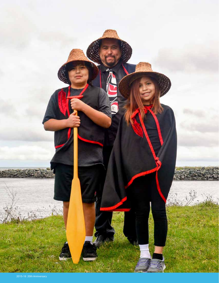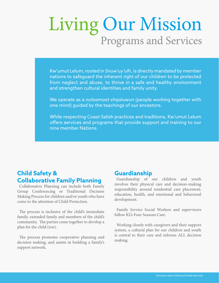# Living Our Mission Programs and Services

Kw'umut Lelum, rooted in *Snuw'uy'ulh*, is directly mandated by member nations to safeguard the inherent right of our children to be protected from neglect and abuse, to thrive in a safe and healthy environment and strengthen cultural identities and family unity.

We operate as a *nutsamaat shqaluwun* (people working together with one mind) guided by the teachings of our ancestors.

While respecting Coast Salish practices and traditions, Kw'umut Lelum offers services and programs that provide support and training to our nine member Nations.

# **Child Safety & Collaborative Family Planning**

Collaborative Planning can include both Family Group Conferencing or Traditional Decision Making Process for children and/or youth who have come to the attention of Child Protection.

The process is inclusive of the child's immediate family, extended family and members of the child's community. The parties come together to develop a plan for the child (ren).

The process promotes cooperative planning and decision making, and assists in building a family's support network.

# **Guardianship**

Guardianship of our children and youth involves their physical care and decision-making responsibility around residential care placement, education, health, and emotional and behavioral development.

Family Service Social Workers and supervisors follow KL's Four Seasons Care.

Working closely with caregivers and their support system, a cultural plan for our children and youth is central to their care and informs ALL decision making.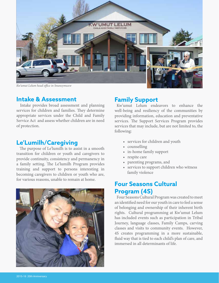

## **Intake & Assessment**

 Intake provides broad assessment and planning services for children and families. They determine appropriate services under the Child and Family Service Act and assess whether children are in need of protection.

# **Le'Lumilh/Caregiving**

 The purpose of Le'lumilh is to assist in a smooth transition for children or youth and caregivers to provide continuity, consistency and permanency in a family setting. The Le'lumilh Program provides training and support to persons interesting in becoming caregivers to children or youth who are, for various reasons, unable to remain at home.



# **Family Support**

Kw'umut Lelum endeavors to enhance the well-being and resiliency of the communities by providing information, education and preventative services. The Support Services Program provides services that may include, but are not limited to, the following:

- services for children and youth
- counselling
- in-home family support
- respite care
- parenting programs, and
- services to support children who witness family violence

# **Four Seasons Cultural Program (4S)**

Four Seasons Cultural Program was created to meet an identified need for our youth in care to feel a sense of belonging and ownership of their inherent birth rights. Cultural programming at Kw'umut Lelum has included events such as participation in Tribal Journey, language classes, Family Camps, carving classes and visits to community events. However, 4S creates programming in a more sustainable, fluid way that is tied to each child's plan of care, and immersed in all determinants of life.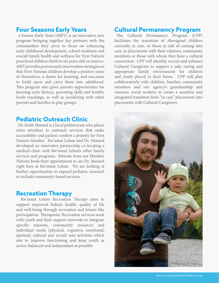### **Four Seasons Early Years**

4 Season Early Years (4SEY) is an innovative new program bringing together key partners with the communities they serve to focus on enhancing early childhood development, school readiness and overall family health and wellness for First Nation's preschool children (birth to six years old) on reserve. 4SEY provides proven early intervention strategies so that First Nations children develop a positive sense of themselves, a desire for learning, and successes to build upon and carry them into adulthood. This program also gives parents opportunities for learning early literacy, parenting skills and healthy foods teachings, as well as socializing with other parents and families in play groups.

## **Pediatric Outreach Clinic**

Dr. Keith Menard is a local pediatrician who places extra attention in outreach services that make accessibility and patient comfort a priority for First Nations families. Kw'umut Lelum and Dr. Menard developed an innovative partnership co-locating a medical clinic with Kw'umut Lelum's other family services and programs. Patients from our Member Nations book their appointment to see Dr. Menard right here at Kw'umut Lelum. We are looking at further opportunities to expand pediatric outreach to include community-based services.

### **Recreation Therapy**

 Kw'umut Lelum Recreation Therapy aims to support improved holistic health, quality of life and well-being through recreation and leisure-like participation. Therapeutic Recreation services work with youth and their support networks to integrate specific interests, community resources and individual needs (physical, cognitive, emotional, spiritual, cultural and social) into activities which aim to improve functioning and keep youth as active, balanced and independent as possible.

### **Cultural Permanency Program**

The Cultural Permanency Program (CPP) facilitates the transition of Aboriginal children currently in care, or those at risk of coming into care, to placements with their relatives, community members or those with whom they have a cultural connection. CPP will identify, recruit and enhance Cultural Caregivers to support a safe, caring and appropriate family environment for children and youth placed in their home. CPP will plan collaboratively with children, families, community members and our agency's guardianship and resource social workers to create a seamless and integrated transition from "in care" placements into placements with Cultural Caregivers.

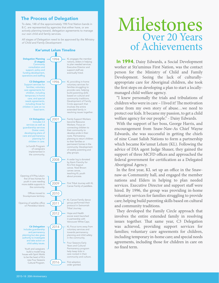#### The Process of Delegation

To date, 148 of the approximately 198 First Nation bands in B.C. are represented by agencies that either have, or are actively planning toward, delegation agreements to manage our own child and family services.

*All stages of Delegation need to be approved by the Ministry of Child and Family Development*



# Milestones Over 20 Years of Achievements

**In 1994**, Daisy Edwards, a Social Development worker at Stz'uminus First Nation, was the contact person for the Ministry of Child and Family Development. Seeing the lack of culturallyappropriate care for Aboriginal children, she took the first steps on developing a plan to start a locallymanaged child welfare agency.

"I knew personally the trials and tribulations of children who were in care – I lived it! The motivation came from my own story of abuse…we need to protect our kids. It became my passion, to get a child welfare agency for our people." - Daisy Edwards.

With the support of her boss, George Harris, and encouragement from Snaw-Naw-As Chief Wayne Edwards, she was successful in getting the chiefs of nine Coast Salish Nations to form a partnership which became Kw'umut Lelum (KL). Following the advice of DIA agent Judge Shauer, they gained the support of three MCFD offices and approached the federal government for certification as a Delegated Aboriginal Agency.

In the first year, KL set up an office in the Snawnaw-as Community hall, and engaged the member nations and Elders in helping to plan needed services. Executive Director and support staff were hired. By 1996, the group was providing in-home voluntary services for families struggling to provide care; helping build parenting skills based on cultural and community traditions.

They developed the Family Circle approach that involves the entire extended family in resolving issues together. That same year, C3 Delegation was achieved, providing support services for families; voluntary care agreements for children, including temporary in-home care; and special needs agreements, including those for children in care on no fixed term.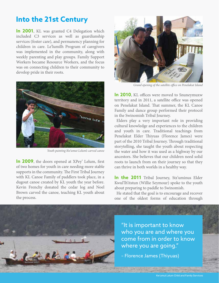# **Into the 21st Century**

**In 2001**, KL was granted C4 Delegation which included C3 services as well as guardianship services (foster care), and permanency planning for children in care. Le'lumilh Program of caregivers was implemented in the community, along with weekly parenting and play groups. Family Support Workers became Resource Workers, and the focus was on connecting children to their community to develop pride in their roots.



*Youth painting Kw'umut Lelum's carved canoe*

**In 2009**, the doors opened at XPey' Lelum, first of two homes for youth in care needing more stable supports in the community. The First Tribal Journey with KL Canoe Family of paddlers took place, in a dugout canoe created by KL youth the year before. Kevin Frenchy donated the cedar log and Noel Brown carved the canoe, teaching KL youth about the process.



*Grand opening of the satellite office on Penelakut Island*

**In 2010**, KL offices were moved to Snuneymuxw territory and in 2011, a satellite office was opened on Penelakut Island. That summer, the KL Canoe Family and dance group performed their protocol in the Swinomish Tribal Journey.

Elders play a very important role in providing cultural knowledge and experiences to the children and youth in care. Traditional teachings from Penelakut Elder Thiyuas (Florence James) were part of the 2010 Tribal Journey. Through traditional storytelling, she taught the youth about respecting the water and how it was used as a highway by our ancestors. She believes that our children need solid roots to launch from on their journey so that they can thrive in both worlds in a healthy way.

**In the 2011** Tribal Journey, Stz'uminus Elder Kwul'lh'itstun (Willie Seymour) spoke to the youth about preparing to paddle to Swinomish.

He stated that the goal is to encourage and recover one of the oldest forms of education through

"It is important to know who you are and where you come from in order to know where you are going."

– Florence James (Thiyuas)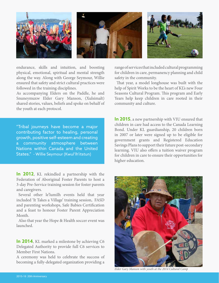

endurance, skills and intuition, and boosting physical, emotional, spiritual and mental strength along the way. Along with George Seymour, Willie ensured that safety and strict cultural practices were followed in the training disciplines.

As accompanying Elders on the Paddle, he and Snuneymuxw Elder Gary Manson, (Xulsimalt) shared stories, values, beliefs and spoke on behalf of the youth at each protocol.

"Tribal journeys have become a major contributing factor to healing, personal growth, positive self-esteem and creating a community atmosphere between Nations within Canada and the United States." - Willie Seymour (Kwul'lh'itstun)

**In 2012**, KL rekindled a partnership with the Federation of Aboriginal Foster Parents to host a 3-day Pre-Service training session for foster parents and caregivers.

Several other le'lumilh events held that year included 'It Takes a Village' training session, FASD and parenting workshops, Safe Babies Certification and a feast to honour Foster Parent Appreciation Month.

Also that year the Hope & Health soccer event was launched.

**In 2014**, KL marked a milestone by achieving C6 Delegated Authority to provide full C6 services to Member First Nations.

A ceremony was held to celebrate the success of becoming a fully-delegated organization providing a

range of services that included cultural programming for children in care, permanency planning and child safety in the community.

That year, a model longhouse was built with the help of Spirit Works to be the heart of KL's new Four Seasons Cultural Program. This program and Early Years help keep children in care rooted in their community and culture.

**In 2015**, a new partnership with VIU ensured that children in care had access to the Canada Learning Bond. Under KL guardianship, 20 children born in 2007 or later were signed up to be eligible for government grants and Registered Education Savings Plans to support their future post-secondary learning. VIU also offers a tuition waiver program for children in care to ensure their opportunities for higher education.



*Elder Gary Manson with youth at the 2014 Cultural Camp*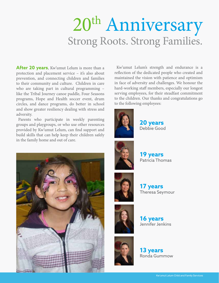# 20th Anniversary Strong Roots. Strong Families.

**After 20 years**, Kw'umut Lelum is more than a protection and placement service – it's also about prevention, and connecting children and families to their community and culture. Children in care who are taking part in cultural programming – like the Tribal Journey canoe paddle, Four Seasons programs, Hope and Health soccer event, drum circles, and dance programs, do better in school and show greater resiliency dealing with stress and adversity.

Parents who participate in weekly parenting groups and playgroups, or who use other resources provided by Kw'umut Lelum, can find support and build skills that can help keep their children safely in the family home and out of care.



Kw'umut Lelum's strength and endurance is a reflection of the dedicated people who created and maintained the vision with patience and optimism in face of adversity and challenges. We honour the hard-working staff members, especially our longest serving employees, for their steadfast commitment to the children. Our thanks and congratulations go to the following employees:



**20 years** Debbie Good



**19 years**  Patricia Thomas



**17 years** Theresa Seymour



**16 years** Jennifer Jenkins



**13 years**  Ronda Gummow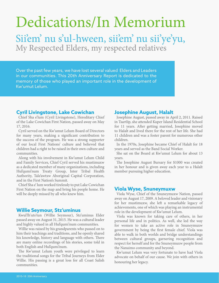# Dedications/In Memorium

Sii'em' nu s'ul-hween, sii'em' nu sii'ye'yu, My Respected Elders, my respected relatives

Over the past few years, we have lost several valued Elders and Leaders in our communities. This 20th Anniversary Report is dedicated to the memory of those who played an important role in the development of Kw'umut Lelum.

#### **Cyril Livingstone, Lake Cowichan**

Chief Sha e'lum (Cyril Livingstone), Hereditary Chief of the Lake Cowichan First Nation, passed away on May 17, 2016.

Cyril served on the Kw'umut Lelum Board of Directors for many years, making a significant contribution to the success of the program. He was a strong supporter of our local First Nations' culture and believed that children had a right to be raised in their own culture and communities.

Along with his involvement in Kw'umut Lelum Child and Family Services, Chief Cyril served his mustimuxw as a dedicated member of many organizations, including Hul'qumi'num Treaty Group, Inter Tribal Health Authority, Tale'awtxw Aboriginal Capital Corporation, and in the First Nation's Summit.

Chief Sha e' lum worked tirelessly to put Lake Cowichan First Nation on the map and bring his people home. He will be deeply missed by all who knew him.

#### **Willie Seymour, Stz'uminus**

Kwul'lh'uts'tun (Willie Seymour), Stz'uminus Elder passed away on August 31, 2015. He was a cultural leader and highly valued in all Hul'qumi'num communities.

Willie was raised by his grandparents who passed on to him their teachings and traditions, and he openly shared his knowledge, history and language with others. There are many online recordings of his stories, some told in both English and Hul'qumi'num.

The Kw'umut Lelum youth were privileged to learn the traditional songs for the Tribal Journeys from Elder Willie. His passing is a great loss for all Coast Salish communities.

#### **Josephine August, Halalt**

Josephine August, passed away in April 2, 2011. Raised in Tsartlip, she attended Kuper Island Residential School for 11 years. After getting married, Josephine moved to Halalt and lived there for the rest of her life. She had 11 children and was a foster parent for numerous other children.

In the 1970s, Josephine became Chief of Halalt for 18 years and served as the Band Social Worker.

She sat on the Board at Kw'umut Lelum for about 13 years.

The Josephine August Bursary for \$1000 was created in her honour and is given away each year to a Halalt member pursuing higher education.

#### **Viola Wyse, Snuneymuxw**

Viola Wyse, Chief of the Snuneymuxw Nation, passed away on August 17, 2009. A beloved leader and visionary for her mustimuxw, she left a remarkable legacy of achievements, one of which was playing an instrumental role in the development of Kw'umut Lelum.

Viola was known for taking care of others, in her personal life and in politics. As well, she led the way for women to take an active role in Snuneymuxw government by being the first female chief. Viola was able to walk in both worlds and bridge understandings between cultural groups, garnering recognition and respect for herself and for the Snuneymuxw people from the Nanaimo community and beyond.

Kw'umut Lelum was very fortunate to have had Viola advocate on behalf of our cause. We join with others in honouring her legacy.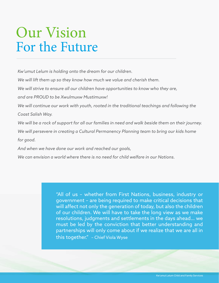# Our Vision For the Future

*Kw'umut Lelum is holding onto the dream for our children.* 

*We will lift them up so they know how much we value and cherish them.*

*We will strive to ensure all our children have opportunities to know who they are,* 

*and are PROUD to be Xwulmuxw Mustimuxw!*

*We will continue our work with youth, rooted in the traditional teachings and following the Coast Salish Way.*

*We will be a rock of support for all our families in need and walk beside them on their journey. We will persevere in creating a Cultural Permanency Planning team to bring our kids home for good.*

*And when we have done our work and reached our goals,* 

*We can envision a world where there is no need for child welfare in our Nations.*

"All of us – whether from First Nations, business, industry or government – are being required to make critical decisions that will affect not only the generation of today, but also the children of our children. We will have to take the long view as we make resolutions, judgments and settlements in the days ahead… we must be led by the conviction that better understanding and partnerships will only come about if we realize that we are all in this together." – Chief Viola Wyse